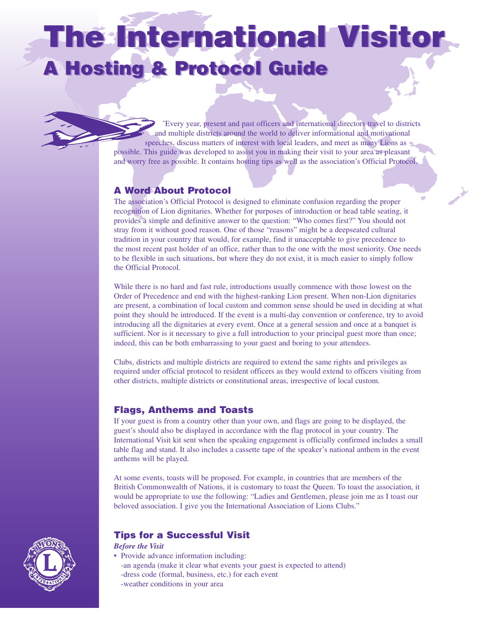# **The International Visitor The International Visitor A Hosting & Protocol Guide A Hosting & Protocol Guide**

ˆEvery year, present and past officers and international directors travel to districts and multiple districts around the world to deliver informational and motivational speeches, discuss matters of interest with local leaders, and meet as many Lions as possible. This guide was developed to assist you in making their visit to your area as pleasant and worry free as possible. It contains hosting tips as well as the association's Official Protocol.

### **A Word About Protocol**

The association's Official Protocol is designed to eliminate confusion regarding the proper recognition of Lion dignitaries. Whether for purposes of introduction or head table seating, it provides a simple and definitive answer to the question: "Who comes first?" You should not stray from it without good reason. One of those "reasons" might be a deepseated cultural tradition in your country that would, for example, find it unacceptable to give precedence to the most recent past holder of an office, rather than to the one with the most seniority. One needs to be flexible in such situations, but where they do not exist, it is much easier to simply follow the Official Protocol.

While there is no hard and fast rule, introductions usually commence with those lowest on the Order of Precedence and end with the highest-ranking Lion present. When non-Lion dignitaries are present, a combination of local custom and common sense should be used in deciding at what point they should be introduced. If the event is a multi-day convention or conference, try to avoid introducing all the dignitaries at every event. Once at a general session and once at a banquet is sufficient. Nor is it necessary to give a full introduction to your principal guest more than once; indeed, this can be both embarrassing to your guest and boring to your attendees.

Clubs, districts and multiple districts are required to extend the same rights and privileges as required under official protocol to resident officers as they would extend to officers visiting from other districts, multiple districts or constitutional areas, irrespective of local custom.

### **Flags, Anthems and Toasts**

If your guest is from a country other than your own, and flags are going to be displayed, the guest's should also be displayed in accordance with the flag protocol in your country. The International Visit kit sent when the speaking engagement is officially confirmed includes a small table flag and stand. It also includes a cassette tape of the speaker's national anthem in the event anthems will be played.

At some events, toasts will be proposed. For example, in countries that are members of the British Commonwealth of Nations, it is customary to toast the Queen. To toast the association, it would be appropriate to use the following: "Ladies and Gentlemen, please join me as I toast our beloved association. I give you the International Association of Lions Clubs."



# **Tips for a Successful Visit**

*Before the Visit*

• Provide advance information including: -an agenda (make it clear what events your guest is expected to attend) -dress code (formal, business, etc.) for each event

-weather conditions in your area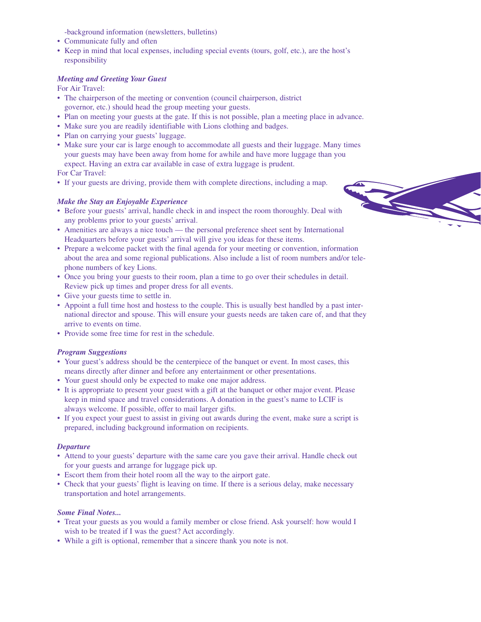-background information (newsletters, bulletins)

- Communicate fully and often
- Keep in mind that local expenses, including special events (tours, golf, etc.), are the host's responsibility

#### *Meeting and Greeting Your Guest*

For Air Travel:

- The chairperson of the meeting or convention (council chairperson, district governor, etc.) should head the group meeting your guests.
- Plan on meeting your guests at the gate. If this is not possible, plan a meeting place in advance.
- Make sure you are readily identifiable with Lions clothing and badges.
- Plan on carrying your guests' luggage.
- Make sure your car is large enough to accommodate all guests and their luggage. Many times your guests may have been away from home for awhile and have more luggage than you expect. Having an extra car available in case of extra luggage is prudent.

For Car Travel:

• If your guests are driving, provide them with complete directions, including a map.

#### *Make the Stay an Enjoyable Experience*

- Before your guests' arrival, handle check in and inspect the room thoroughly. Deal with any problems prior to your guests' arrival.
- Amenities are always a nice touch the personal preference sheet sent by International Headquarters before your guests' arrival will give you ideas for these items.
- Prepare a welcome packet with the final agenda for your meeting or convention, information about the area and some regional publications. Also include a list of room numbers and/or telephone numbers of key Lions.

- Once you bring your guests to their room, plan a time to go over their schedules in detail. Review pick up times and proper dress for all events.
- Give your guests time to settle in.
- Appoint a full time host and hostess to the couple. This is usually best handled by a past international director and spouse. This will ensure your guests needs are taken care of, and that they arrive to events on time.
- Provide some free time for rest in the schedule.

#### *Program Suggestions*

- Your guest's address should be the centerpiece of the banquet or event. In most cases, this means directly after dinner and before any entertainment or other presentations.
- Your guest should only be expected to make one major address.
- It is appropriate to present your guest with a gift at the banquet or other major event. Please keep in mind space and travel considerations. A donation in the guest's name to LCIF is always welcome. If possible, offer to mail larger gifts.
- If you expect your guest to assist in giving out awards during the event, make sure a script is prepared, including background information on recipients.

#### *Departure*

- Attend to your guests' departure with the same care you gave their arrival. Handle check out for your guests and arrange for luggage pick up.
- Escort them from their hotel room all the way to the airport gate.
- Check that your guests' flight is leaving on time. If there is a serious delay, make necessary transportation and hotel arrangements.

#### *Some Final Notes...*

- Treat your guests as you would a family member or close friend. Ask yourself: how would I wish to be treated if I was the guest? Act accordingly.
- While a gift is optional, remember that a sincere thank you note is not.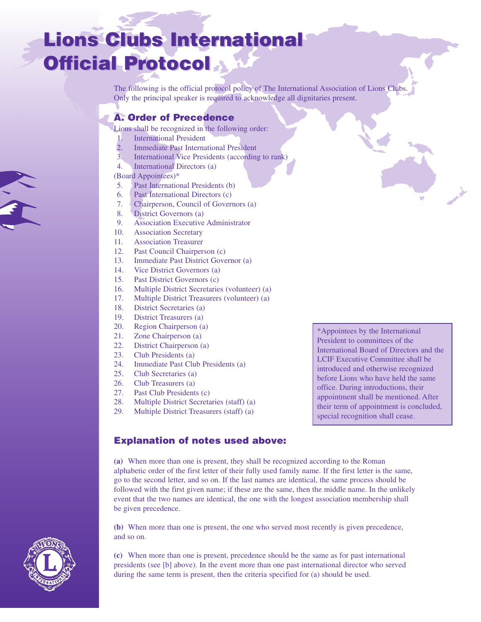# **Lions Clubs International Lions Clubs International Official Protocol Official Protocol**

The following is the official protocol policy of The International Association of Lions Clubs. Only the principal speaker is required to acknowledge all dignitaries present.

# **A. Order of Precedence**

Lions shall be recognized in the following order:

- 1. International President
- 2. Immediate Past International President
- 3. International Vice Presidents (according to rank)
- 4. International Directors (a)

#### (Board Appointees)\*

- 5. Past International Presidents (b)
- 6. Past International Directors (c)
- 7. Chairperson, Council of Governors (a)
- 8. District Governors (a)
- 9. Association Executive Administrator
- 10. Association Secretary
- 11. Association Treasurer
- 12. Past Council Chairperson (c)
- 13. Immediate Past District Governor (a)
- 14. Vice District Governors (a)
- 15. Past District Governors (c)
- 16. Multiple District Secretaries (volunteer) (a)
- 17. Multiple District Treasurers (volunteer) (a)
- 18. District Secretaries (a)
- 19. District Treasurers (a)
- 20. Region Chairperson (a)
- 21. Zone Chairperson (a)
- 22. District Chairperson (a)
- 23. Club Presidents (a)
- 24. Immediate Past Club Presidents (a)
- 25. Club Secretaries (a)
- 26. Club Treasurers (a)
- 27. Past Club Presidents (c)
- 28. Multiple District Secretaries (staff) (a)
- 29. Multiple District Treasurers (staff) (a)

President to committees of the International Board of Directors and the LCIF Executive Committee shall be introduced and otherwise recognized before Lions who have held the same office. During introductions, their appointment shall be mentioned. After their term of appointment is concluded, special recognition shall cease.

\*Appointees by the International

#### **Explanation of notes used above:**

**(a)** When more than one is present, they shall be recognized according to the Roman alphabetic order of the first letter of their fully used family name. If the first letter is the same, go to the second letter, and so on. If the last names are identical, the same process should be followed with the first given name; if these are the same, then the middle name. In the unlikely event that the two names are identical, the one with the longest association membership shall be given precedence.

**(b)** When more than one is present, the one who served most recently is given precedence, and so on.

**(c)** When more than one is present, precedence should be the same as for past international presidents (see [b] above). In the event more than one past international director who served during the same term is present, then the criteria specified for (a) should be used.